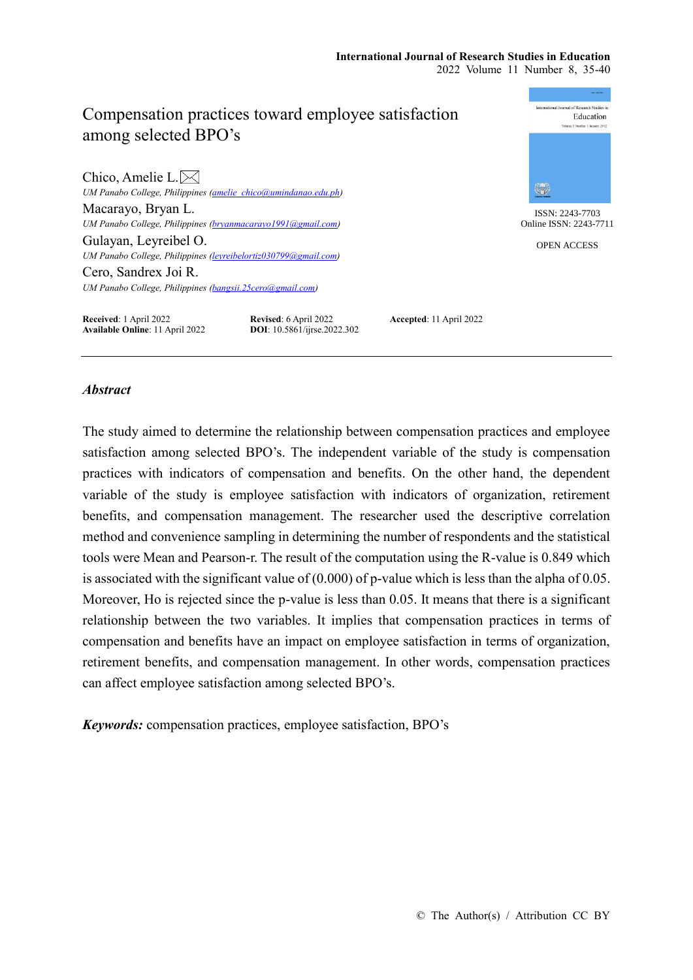# Compensation practices toward employee satisfaction among selected BPO's

Chico, Amelie L. $\boxtimes$ *UM Panabo College, Philippines [\(amelie\\_chico@umindanao.edu.ph\)](mailto:amelie_chico@umindanao.edu.ph)* Macarayo, Bryan L. *UM Panabo College, Philippines [\(bryanmacarayo1991@gmail.com\)](mailto:bryanmacarayo1991@gmail.com)* Gulayan, Leyreibel O. *UM Panabo College, Philippines [\(leyreibelortiz030799@gmail.com\)](mailto:leyreibelortiz030799@gmail.com)* Cero, Sandrex Joi R. *UM Panabo College, Philippines [\(bangsii.25cero@gmail.com\)](mailto:bangsii.25cero@gmail.com)*



ISSN: 2243-7703 Online ISSN: 2243-7711

OPEN ACCESS

**Received**: 1 April 2022<br> **Revised**: 6 April 2022<br> **Accepted**: 11 April 2022<br> **DOI**: 10.5861/ijrse.2022.302<br> **Accepted**: 11 April 2022 **Available Online**: 11 April 2022

## *Abstract*

The study aimed to determine the relationship between compensation practices and employee satisfaction among selected BPO's. The independent variable of the study is compensation practices with indicators of compensation and benefits. On the other hand, the dependent variable of the study is employee satisfaction with indicators of organization, retirement benefits, and compensation management. The researcher used the descriptive correlation method and convenience sampling in determining the number of respondents and the statistical tools were Mean and Pearson-r. The result of the computation using the R-value is 0.849 which is associated with the significant value of (0.000) of p-value which is less than the alpha of 0.05. Moreover, Ho is rejected since the p-value is less than 0.05. It means that there is a significant relationship between the two variables. It implies that compensation practices in terms of compensation and benefits have an impact on employee satisfaction in terms of organization, retirement benefits, and compensation management. In other words, compensation practices can affect employee satisfaction among selected BPO's.

*Keywords:* compensation practices, employee satisfaction, BPO's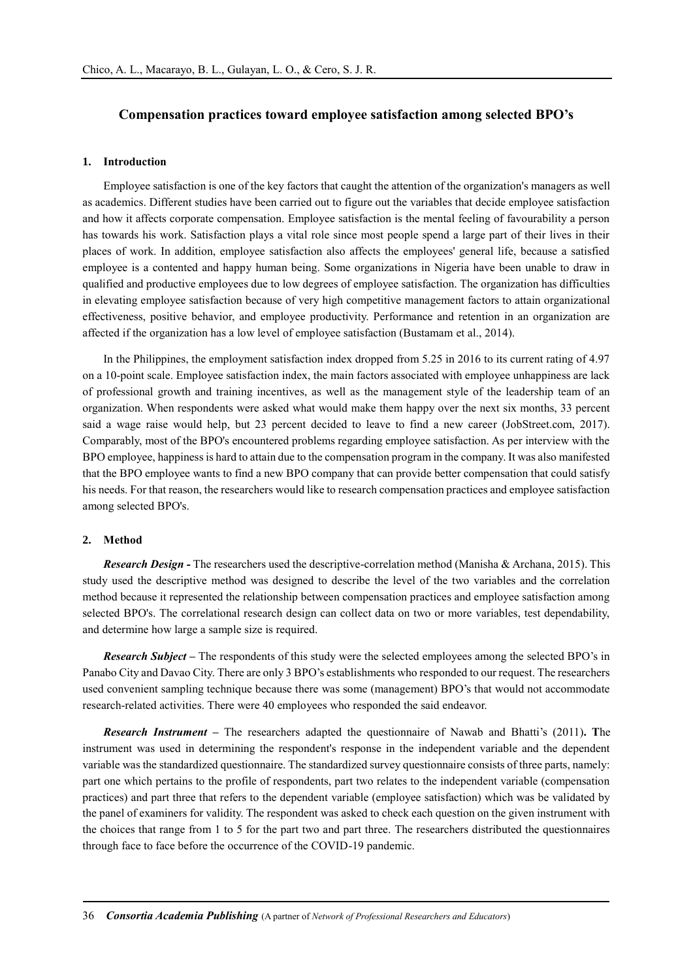## **Compensation practices toward employee satisfaction among selected BPO's**

#### **1. Introduction**

Employee satisfaction is one of the key factors that caught the attention of the organization's managers as well as academics. Different studies have been carried out to figure out the variables that decide employee satisfaction and how it affects corporate compensation. Employee satisfaction is the mental feeling of favourability a person has towards his work. Satisfaction plays a vital role since most people spend a large part of their lives in their places of work. In addition, employee satisfaction also affects the employees' general life, because a satisfied employee is a contented and happy human being. Some organizations in Nigeria have been unable to draw in qualified and productive employees due to low degrees of employee satisfaction. The organization has difficulties in elevating employee satisfaction because of very high competitive management factors to attain organizational effectiveness, positive behavior, and employee productivity. Performance and retention in an organization are affected if the organization has a low level of employee satisfaction (Bustamam et al., 2014).

In the Philippines, the employment satisfaction index dropped from 5.25 in 2016 to its current rating of 4.97 on a 10-point scale. Employee satisfaction index, the main factors associated with employee unhappiness are lack of professional growth and training incentives, as well as the management style of the leadership team of an organization. When respondents were asked what would make them happy over the next six months, 33 percent said a wage raise would help, but 23 percent decided to leave to find a new career (JobStreet.com, 2017). Comparably, most of the BPO's encountered problems regarding employee satisfaction. As per interview with the BPO employee, happiness is hard to attain due to the compensation program in the company. It was also manifested that the BPO employee wants to find a new BPO company that can provide better compensation that could satisfy his needs. For that reason, the researchers would like to research compensation practices and employee satisfaction among selected BPO's.

## **2. Method**

*Research Design -* The researchers used the descriptive-correlation method (Manisha & Archana, 2015). This study used the descriptive method was designed to describe the level of the two variables and the correlation method because it represented the relationship between compensation practices and employee satisfaction among selected BPO's. The correlational research design can collect data on two or more variables, test dependability, and determine how large a sample size is required.

*Research Subject* – The respondents of this study were the selected employees among the selected BPO's in Panabo City and Davao City. There are only 3 BPO's establishments who responded to our request. The researchers used convenient sampling technique because there was some (management) BPO's that would not accommodate research-related activities. There were 40 employees who responded the said endeavor.

*Research Instrument –* The researchers adapted the questionnaire of Nawab and Bhatti's (2011)**. T**he instrument was used in determining the respondent's response in the independent variable and the dependent variable was the standardized questionnaire. The standardized survey questionnaire consists of three parts, namely: part one which pertains to the profile of respondents, part two relates to the independent variable (compensation practices) and part three that refers to the dependent variable (employee satisfaction) which was be validated by the panel of examiners for validity. The respondent was asked to check each question on the given instrument with the choices that range from 1 to 5 for the part two and part three. The researchers distributed the questionnaires through face to face before the occurrence of the COVID-19 pandemic.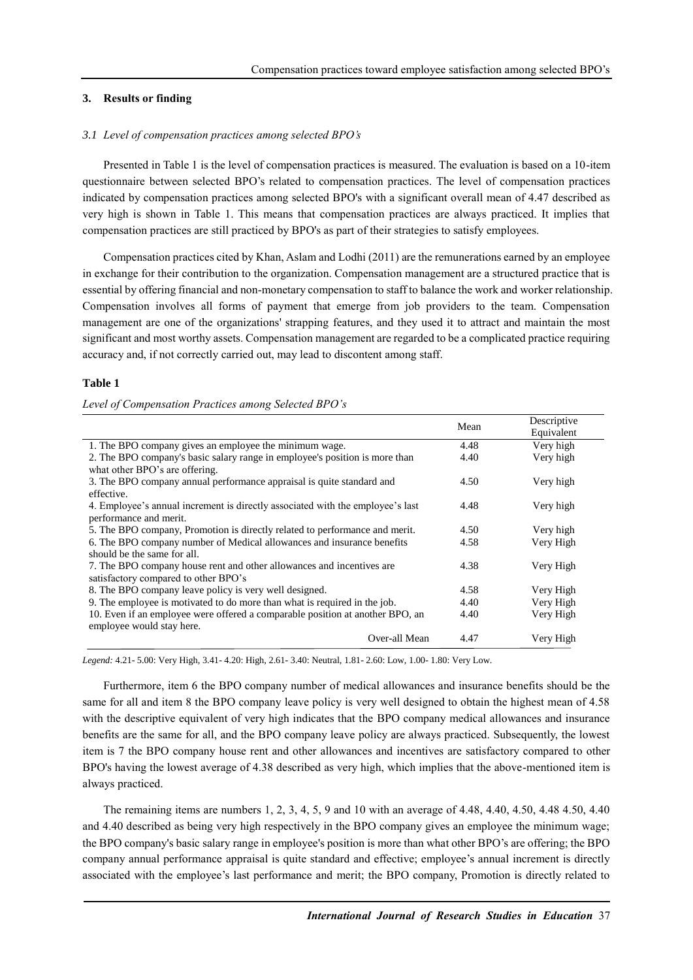## **3. Results or finding**

## *3.1 Level of compensation practices among selected BPO's*

Presented in Table 1 is the level of compensation practices is measured. The evaluation is based on a 10-item questionnaire between selected BPO's related to compensation practices. The level of compensation practices indicated by compensation practices among selected BPO's with a significant overall mean of 4.47 described as very high is shown in Table 1. This means that compensation practices are always practiced. It implies that compensation practices are still practiced by BPO's as part of their strategies to satisfy employees.

Compensation practices cited by Khan, Aslam and Lodhi (2011) are the remunerations earned by an employee in exchange for their contribution to the organization. Compensation management are a structured practice that is essential by offering financial and non-monetary compensation to staff to balance the work and worker relationship. Compensation involves all forms of payment that emerge from job providers to the team. Compensation management are one of the organizations' strapping features, and they used it to attract and maintain the most significant and most worthy assets. Compensation management are regarded to be a complicated practice requiring accuracy and, if not correctly carried out, may lead to discontent among staff.

#### **Table 1**

#### *Level of Compensation Practices among Selected BPO's*

|                                                                                | Mean | Descriptive |
|--------------------------------------------------------------------------------|------|-------------|
|                                                                                |      | Equivalent  |
| 1. The BPO company gives an employee the minimum wage.                         | 4.48 | Very high   |
| 2. The BPO company's basic salary range in employee's position is more than    | 4.40 | Very high   |
| what other BPO's are offering.                                                 |      |             |
| 3. The BPO company annual performance appraisal is quite standard and          | 4.50 | Very high   |
| effective.                                                                     |      |             |
| 4. Employee's annual increment is directly associated with the employee's last | 4.48 | Very high   |
| performance and merit.                                                         |      |             |
| 5. The BPO company, Promotion is directly related to performance and merit.    | 4.50 | Very high   |
| 6. The BPO company number of Medical allowances and insurance benefits         | 4.58 | Very High   |
| should be the same for all.                                                    |      |             |
| 7. The BPO company house rent and other allowances and incentives are          | 4.38 | Very High   |
| satisfactory compared to other BPO's                                           |      |             |
| 8. The BPO company leave policy is very well designed.                         | 4.58 | Very High   |
| 9. The employee is motivated to do more than what is required in the job.      | 4.40 | Very High   |
| 10. Even if an employee were offered a comparable position at another BPO, an  | 4.40 | Very High   |
| employee would stay here.                                                      |      |             |
| Over-all Mean                                                                  | 4.47 | Very High   |

*Legend:* 4.21- 5.00: Very High, 3.41- 4.20: High, 2.61- 3.40: Neutral, 1.81- 2.60: Low, 1.00- 1.80: Very Low.

Furthermore, item 6 the BPO company number of medical allowances and insurance benefits should be the same for all and item 8 the BPO company leave policy is very well designed to obtain the highest mean of 4.58 with the descriptive equivalent of very high indicates that the BPO company medical allowances and insurance benefits are the same for all, and the BPO company leave policy are always practiced. Subsequently, the lowest item is 7 the BPO company house rent and other allowances and incentives are satisfactory compared to other BPO's having the lowest average of 4.38 described as very high, which implies that the above-mentioned item is always practiced.

The remaining items are numbers 1, 2, 3, 4, 5, 9 and 10 with an average of 4.48, 4.40, 4.50, 4.48 4.50, 4.40 and 4.40 described as being very high respectively in the BPO company gives an employee the minimum wage; the BPO company's basic salary range in employee's position is more than what other BPO's are offering; the BPO company annual performance appraisal is quite standard and effective; employee's annual increment is directly associated with the employee's last performance and merit; the BPO company, Promotion is directly related to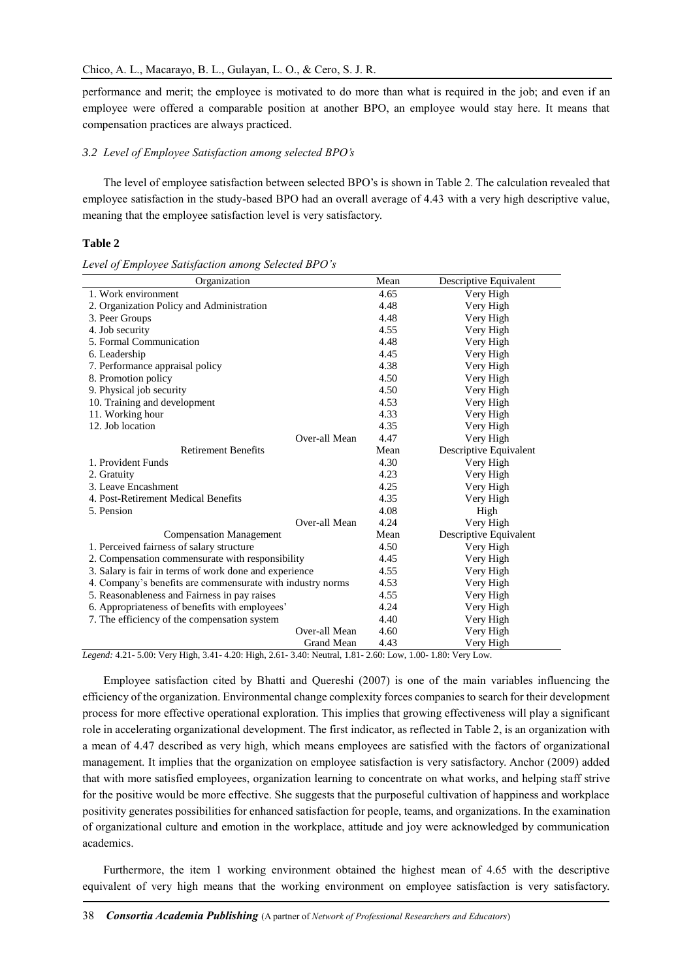performance and merit; the employee is motivated to do more than what is required in the job; and even if an employee were offered a comparable position at another BPO, an employee would stay here. It means that compensation practices are always practiced.

#### *3.2 Level of Employee Satisfaction among selected BPO's*

The level of employee satisfaction between selected BPO's is shown in Table 2. The calculation revealed that employee satisfaction in the study-based BPO had an overall average of 4.43 with a very high descriptive value, meaning that the employee satisfaction level is very satisfactory.

#### **Table 2**

|  |  | Level of Employee Satisfaction among Selected BPO's |  |  |  |
|--|--|-----------------------------------------------------|--|--|--|
|--|--|-----------------------------------------------------|--|--|--|

| Organization                                               | Mean              | Descriptive Equivalent  |
|------------------------------------------------------------|-------------------|-------------------------|
| 1. Work environment                                        |                   | Very High               |
| 2. Organization Policy and Administration                  | 4.48              | Very High               |
| 3. Peer Groups                                             | 4.48              | Very High               |
| 4. Job security                                            | 4.55              | Very High               |
| 5. Formal Communication                                    | 4.48              | Very High               |
| 6. Leadership                                              | 4.45              | Very High               |
| 7. Performance appraisal policy                            |                   | Very High               |
| 8. Promotion policy                                        |                   | Very High               |
| 9. Physical job security                                   |                   | Very High               |
| 10. Training and development                               |                   | Very High               |
| 11. Working hour                                           | 4.33              | Very High               |
| 12. Job location                                           | 4.35              | Very High               |
| Over-all Mean                                              | 4.47              | Very High               |
| <b>Retirement Benefits</b>                                 | Mean              | Descriptive Equivalent  |
| 1. Provident Funds                                         |                   | Very High               |
| 2. Gratuity                                                | 4.23<br>Very High |                         |
| 3. Leave Encashment                                        | 4.25              | Very High               |
| 4. Post-Retirement Medical Benefits                        |                   | Very High               |
| 5. Pension                                                 | 4.08              | High                    |
| Over-all Mean                                              | 4.24              | Very High               |
| <b>Compensation Management</b>                             |                   | Descriptive Equivalent  |
| 1. Perceived fairness of salary structure                  |                   | Very High               |
| 2. Compensation commensurate with responsibility           |                   | Very High               |
| 3. Salary is fair in terms of work done and experience     |                   | Very High               |
| 4. Company's benefits are commensurate with industry norms |                   | Very High               |
| 5. Reasonableness and Fairness in pay raises               |                   | Very High               |
| 6. Appropriateness of benefits with employees'             |                   | Very High               |
| 7. The efficiency of the compensation system.              |                   | Very High               |
| Over-all Mean                                              | 4.60              | Very High               |
| Grand Mean<br>1.101<br>0.44<br>40.37                       | 4.43<br>$\sim$    | Very High<br><b>Y</b> T |

*Legend:* 4.21- 5.00: Very High, 3.41- 4.20: High, 2.61- 3.40: Neutral, 1.81- 2.60: Low, 1.00- 1.80: Very Low.

Employee satisfaction cited by Bhatti and Quereshi (2007) is one of the main variables influencing the efficiency of the organization. Environmental change complexity forces companies to search for their development process for more effective operational exploration. This implies that growing effectiveness will play a significant role in accelerating organizational development. The first indicator, as reflected in Table 2, is an organization with a mean of 4.47 described as very high, which means employees are satisfied with the factors of organizational management. It implies that the organization on employee satisfaction is very satisfactory. Anchor (2009) added that with more satisfied employees, organization learning to concentrate on what works, and helping staff strive for the positive would be more effective. She suggests that the purposeful cultivation of happiness and workplace positivity generates possibilities for enhanced satisfaction for people, teams, and organizations. In the examination of organizational culture and emotion in the workplace, attitude and joy were acknowledged by communication academics.

Furthermore, the item 1 working environment obtained the highest mean of 4.65 with the descriptive equivalent of very high means that the working environment on employee satisfaction is very satisfactory.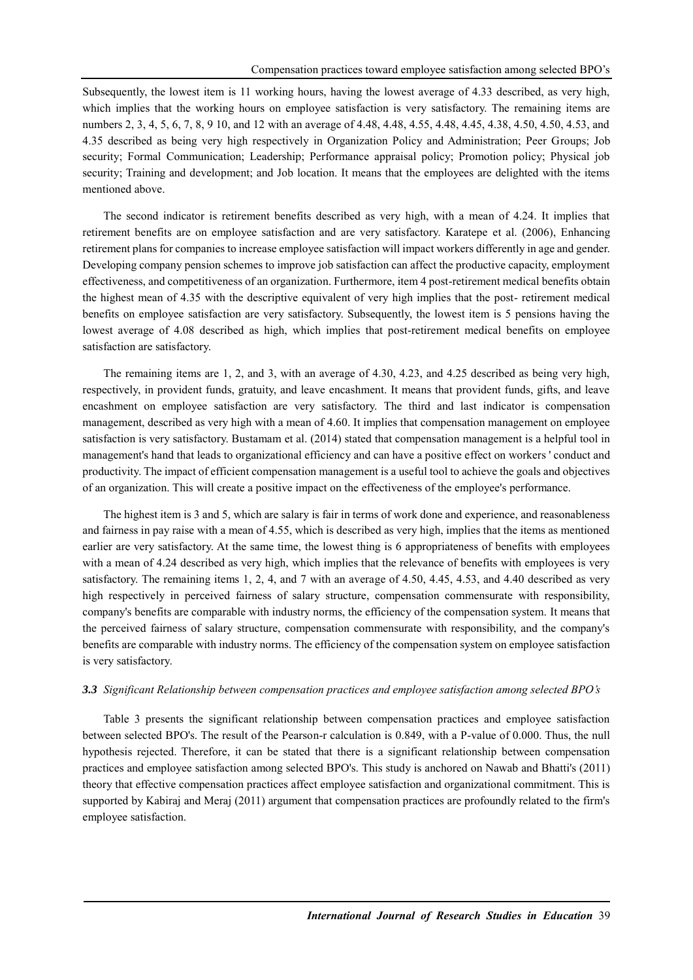Subsequently, the lowest item is 11 working hours, having the lowest average of 4.33 described, as very high, which implies that the working hours on employee satisfaction is very satisfactory. The remaining items are numbers 2, 3, 4, 5, 6, 7, 8, 9 10, and 12 with an average of 4.48, 4.48, 4.55, 4.48, 4.45, 4.38, 4.50, 4.50, 4.53, and 4.35 described as being very high respectively in Organization Policy and Administration; Peer Groups; Job security; Formal Communication; Leadership; Performance appraisal policy; Promotion policy; Physical job security; Training and development; and Job location. It means that the employees are delighted with the items mentioned above.

The second indicator is retirement benefits described as very high, with a mean of 4.24. It implies that retirement benefits are on employee satisfaction and are very satisfactory. Karatepe et al. (2006), Enhancing retirement plans for companies to increase employee satisfaction will impact workers differently in age and gender. Developing company pension schemes to improve job satisfaction can affect the productive capacity, employment effectiveness, and competitiveness of an organization. Furthermore, item 4 post-retirement medical benefits obtain the highest mean of 4.35 with the descriptive equivalent of very high implies that the post- retirement medical benefits on employee satisfaction are very satisfactory. Subsequently, the lowest item is 5 pensions having the lowest average of 4.08 described as high, which implies that post-retirement medical benefits on employee satisfaction are satisfactory.

The remaining items are 1, 2, and 3, with an average of 4.30, 4.23, and 4.25 described as being very high, respectively, in provident funds, gratuity, and leave encashment. It means that provident funds, gifts, and leave encashment on employee satisfaction are very satisfactory. The third and last indicator is compensation management, described as very high with a mean of 4.60. It implies that compensation management on employee satisfaction is very satisfactory. Bustamam et al. (2014) stated that compensation management is a helpful tool in management's hand that leads to organizational efficiency and can have a positive effect on workers ' conduct and productivity. The impact of efficient compensation management is a useful tool to achieve the goals and objectives of an organization. This will create a positive impact on the effectiveness of the employee's performance.

The highest item is 3 and 5, which are salary is fair in terms of work done and experience, and reasonableness and fairness in pay raise with a mean of 4.55, which is described as very high, implies that the items as mentioned earlier are very satisfactory. At the same time, the lowest thing is 6 appropriateness of benefits with employees with a mean of 4.24 described as very high, which implies that the relevance of benefits with employees is very satisfactory. The remaining items 1, 2, 4, and 7 with an average of 4.50, 4.45, 4.53, and 4.40 described as very high respectively in perceived fairness of salary structure, compensation commensurate with responsibility, company's benefits are comparable with industry norms, the efficiency of the compensation system. It means that the perceived fairness of salary structure, compensation commensurate with responsibility, and the company's benefits are comparable with industry norms. The efficiency of the compensation system on employee satisfaction is very satisfactory.

### *3.3 Significant Relationship between compensation practices and employee satisfaction among selected BPO's*

Table 3 presents the significant relationship between compensation practices and employee satisfaction between selected BPO's. The result of the Pearson-r calculation is 0.849, with a P-value of 0.000. Thus, the null hypothesis rejected. Therefore, it can be stated that there is a significant relationship between compensation practices and employee satisfaction among selected BPO's. This study is anchored on Nawab and Bhatti's (2011) theory that effective compensation practices affect employee satisfaction and organizational commitment. This is supported by Kabiraj and Meraj (2011) argument that compensation practices are profoundly related to the firm's employee satisfaction.